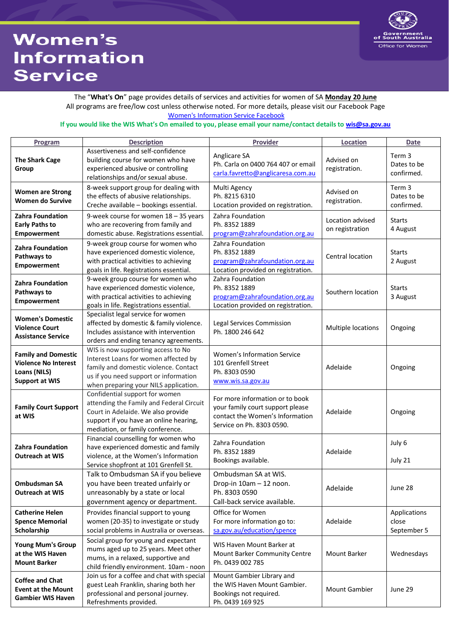## **Women's Information Service**



The "**What's On**" page provides details of services and activities for women of SA **Monday 20 June** All programs are free/low cost unless otherwise noted. For more details, please visit our Facebook Page [Women's Information Service Facebook](https://www.facebook.com/sawomen/)

## **If you would like the WIS What's On emailed to you, please email your name/contact details t[o wis@sa.gov.au](mailto:wis@sa.gov.au)**

| Program                                                                                            | <b>Description</b>                                                                                                                                                                                    | Provider                                                                                                                            | <b>Location</b>                     | <b>Date</b>                          |
|----------------------------------------------------------------------------------------------------|-------------------------------------------------------------------------------------------------------------------------------------------------------------------------------------------------------|-------------------------------------------------------------------------------------------------------------------------------------|-------------------------------------|--------------------------------------|
| <b>The Shark Cage</b><br>Group                                                                     | Assertiveness and self-confidence<br>building course for women who have<br>experienced abusive or controlling<br>relationships and/or sexual abuse.                                                   | Anglicare SA<br>Ph. Carla on 0400 764 407 or email<br>carla.favretto@anglicaresa.com.au                                             | Advised on<br>registration.         | Term 3<br>Dates to be<br>confirmed.  |
| <b>Women are Strong</b><br><b>Women do Survive</b>                                                 | 8-week support group for dealing with<br>the effects of abusive relationships.<br>Creche available - bookings essential.                                                                              | Multi Agency<br>Ph. 8215 6310<br>Location provided on registration.                                                                 | Advised on<br>registration.         | Term 3<br>Dates to be<br>confirmed.  |
| Zahra Foundation<br><b>Early Paths to</b><br><b>Empowerment</b>                                    | 9-week course for women 18 - 35 years<br>who are recovering from family and<br>domestic abuse. Registrations essential.                                                                               | Zahra Foundation<br>Ph. 8352 1889<br>program@zahrafoundation.org.au                                                                 | Location advised<br>on registration | <b>Starts</b><br>4 August            |
| Zahra Foundation<br>Pathways to<br><b>Empowerment</b>                                              | 9-week group course for women who<br>have experienced domestic violence,<br>with practical activities to achieving<br>goals in life. Registrations essential.                                         | Zahra Foundation<br>Ph. 8352 1889<br>program@zahrafoundation.org.au<br>Location provided on registration.                           | Central location                    | <b>Starts</b><br>2 August            |
| Zahra Foundation<br>Pathways to<br><b>Empowerment</b>                                              | 9-week group course for women who<br>have experienced domestic violence,<br>with practical activities to achieving<br>goals in life. Registrations essential.                                         | Zahra Foundation<br>Ph. 8352 1889<br>program@zahrafoundation.org.au<br>Location provided on registration.                           | Southern location                   | <b>Starts</b><br>3 August            |
| <b>Women's Domestic</b><br><b>Violence Court</b><br><b>Assistance Service</b>                      | Specialist legal service for women<br>affected by domestic & family violence.<br>Includes assistance with intervention<br>orders and ending tenancy agreements.                                       | <b>Legal Services Commission</b><br>Ph. 1800 246 642                                                                                | Multiple locations                  | Ongoing                              |
| <b>Family and Domestic</b><br><b>Violence No Interest</b><br>Loans (NILS)<br><b>Support at WIS</b> | WIS is now supporting access to No<br>Interest Loans for women affected by<br>family and domestic violence. Contact<br>us if you need support or information<br>when preparing your NILS application. | Women's Information Service<br>101 Grenfell Street<br>Ph. 8303 0590<br>www.wis.sa.gov.au                                            | Adelaide                            | Ongoing                              |
| <b>Family Court Support</b><br>at WIS                                                              | Confidential support for women<br>attending the Family and Federal Circuit<br>Court in Adelaide. We also provide<br>support if you have an online hearing,<br>mediation, or family conference.        | For more information or to book<br>your family court support please<br>contact the Women's Information<br>Service on Ph. 8303 0590. | Adelaide                            | Ongoing                              |
| Zahra Foundation<br><b>Outreach at WIS</b>                                                         | Financial counselling for women who<br>have experienced domestic and family<br>violence, at the Women's Information<br>Service shopfront at 101 Grenfell St.                                          | Zahra Foundation<br>Ph. 8352 1889<br>Bookings available.                                                                            | Adelaide                            | July 6<br>July 21                    |
| <b>Ombudsman SA</b><br><b>Outreach at WIS</b>                                                      | Talk to Ombudsman SA if you believe<br>you have been treated unfairly or<br>unreasonably by a state or local<br>government agency or department.                                                      | Ombudsman SA at WIS.<br>Drop-in 10am - 12 noon.<br>Ph. 8303 0590<br>Call-back service available.                                    | Adelaide                            | June 28                              |
| <b>Catherine Helen</b><br><b>Spence Memorial</b><br>Scholarship                                    | Provides financial support to young<br>women (20-35) to investigate or study<br>social problems in Australia or overseas.                                                                             | Office for Women<br>For more information go to:<br>sa.gov.au/education/spence                                                       | Adelaide                            | Applications<br>close<br>September 5 |
| <b>Young Mum's Group</b><br>at the WIS Haven<br><b>Mount Barker</b>                                | Social group for young and expectant<br>mums aged up to 25 years. Meet other<br>mums, in a relaxed, supportive and<br>child friendly environment. 10am - noon                                         | WIS Haven Mount Barker at<br>Mount Barker Community Centre<br>Ph. 0439 002 785                                                      | <b>Mount Barker</b>                 | Wednesdays                           |
| <b>Coffee and Chat</b><br><b>Event at the Mount</b><br><b>Gambier WIS Haven</b>                    | Join us for a coffee and chat with special<br>guest Leah Franklin, sharing both her<br>professional and personal journey.<br>Refreshments provided.                                                   | Mount Gambier Library and<br>the WIS Haven Mount Gambier.<br>Bookings not required.<br>Ph. 0439 169 925                             | <b>Mount Gambier</b>                | June 29                              |